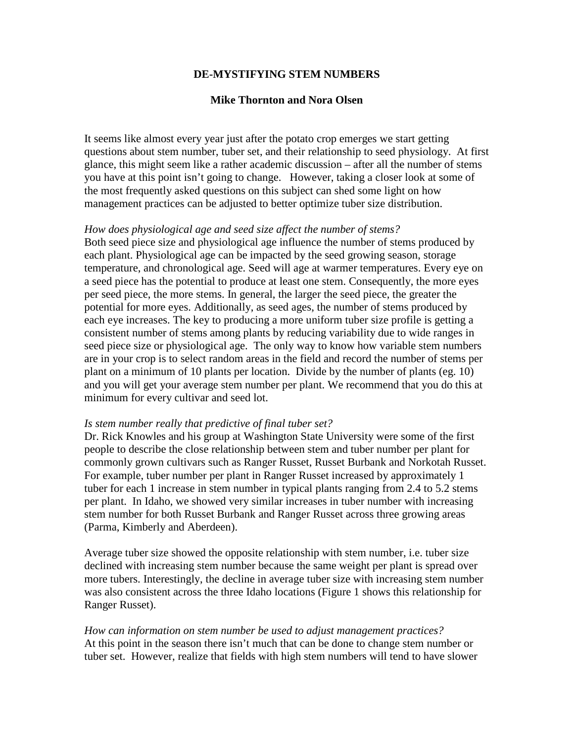## **DE-MYSTIFYING STEM NUMBERS**

## **Mike Thornton and Nora Olsen**

It seems like almost every year just after the potato crop emerges we start getting questions about stem number, tuber set, and their relationship to seed physiology. At first glance, this might seem like a rather academic discussion – after all the number of stems you have at this point isn't going to change. However, taking a closer look at some of the most frequently asked questions on this subject can shed some light on how management practices can be adjusted to better optimize tuber size distribution.

## *How does physiological age and seed size affect the number of stems?*

Both seed piece size and physiological age influence the number of stems produced by each plant. Physiological age can be impacted by the seed growing season, storage temperature, and chronological age. Seed will age at warmer temperatures. Every eye on a seed piece has the potential to produce at least one stem. Consequently, the more eyes per seed piece, the more stems. In general, the larger the seed piece, the greater the potential for more eyes. Additionally, as seed ages, the number of stems produced by each eye increases. The key to producing a more uniform tuber size profile is getting a consistent number of stems among plants by reducing variability due to wide ranges in seed piece size or physiological age. The only way to know how variable stem numbers are in your crop is to select random areas in the field and record the number of stems per plant on a minimum of 10 plants per location. Divide by the number of plants (eg. 10) and you will get your average stem number per plant. We recommend that you do this at minimum for every cultivar and seed lot.

## *Is stem number really that predictive of final tuber set?*

Dr. Rick Knowles and his group at Washington State University were some of the first people to describe the close relationship between stem and tuber number per plant for commonly grown cultivars such as Ranger Russet, Russet Burbank and Norkotah Russet. For example, tuber number per plant in Ranger Russet increased by approximately 1 tuber for each 1 increase in stem number in typical plants ranging from 2.4 to 5.2 stems per plant. In Idaho, we showed very similar increases in tuber number with increasing stem number for both Russet Burbank and Ranger Russet across three growing areas (Parma, Kimberly and Aberdeen).

Average tuber size showed the opposite relationship with stem number, i.e. tuber size declined with increasing stem number because the same weight per plant is spread over more tubers. Interestingly, the decline in average tuber size with increasing stem number was also consistent across the three Idaho locations (Figure 1 shows this relationship for Ranger Russet).

*How can information on stem number be used to adjust management practices?* At this point in the season there isn't much that can be done to change stem number or tuber set. However, realize that fields with high stem numbers will tend to have slower